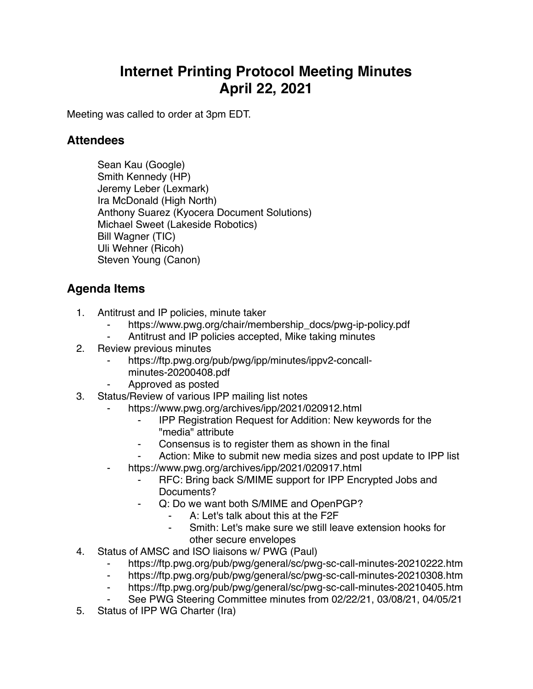## **Internet Printing Protocol Meeting Minutes April 22, 2021**

Meeting was called to order at 3pm EDT.

## **Attendees**

Sean Kau (Google) Smith Kennedy (HP) Jeremy Leber (Lexmark) Ira McDonald (High North) Anthony Suarez (Kyocera Document Solutions) Michael Sweet (Lakeside Robotics) Bill Wagner (TIC) Uli Wehner (Ricoh) Steven Young (Canon)

## **Agenda Items**

- 1. Antitrust and IP policies, minute taker
	- https://www.pwg.org/chair/membership\_docs/pwg-ip-policy.pdf
	- ⁃ Antitrust and IP policies accepted, Mike taking minutes
- 2. Review previous minutes
	- https://ftp.pwg.org/pub/pwg/ipp/minutes/ippv2-concall
		- minutes-20200408.pdf
	- ⁃ Approved as posted
- 3. Status/Review of various IPP mailing list notes
	- https://www.pwg.org/archives/ipp/2021/020912.html
		- ⁃ IPP Registration Request for Addition: New keywords for the "media" attribute
		- Consensus is to register them as shown in the final
		- Action: Mike to submit new media sizes and post update to IPP list
	- https://www.pwg.org/archives/ipp/2021/020917.html
		- ⁃ RFC: Bring back S/MIME support for IPP Encrypted Jobs and Documents?
		- Q: Do we want both S/MIME and OpenPGP?
			- A: Let's talk about this at the F2F
			- Smith: Let's make sure we still leave extension hooks for other secure envelopes
- 4. Status of AMSC and ISO liaisons w/ PWG (Paul)
	- ⁃ https://ftp.pwg.org/pub/pwg/general/sc/pwg-sc-call-minutes-20210222.htm
	- ⁃ https://ftp.pwg.org/pub/pwg/general/sc/pwg-sc-call-minutes-20210308.htm
	- https://ftp.pwg.org/pub/pwg/general/sc/pwg-sc-call-minutes-20210405.htm
	- See PWG Steering Committee minutes from 02/22/21, 03/08/21, 04/05/21
- 5. Status of IPP WG Charter (Ira)